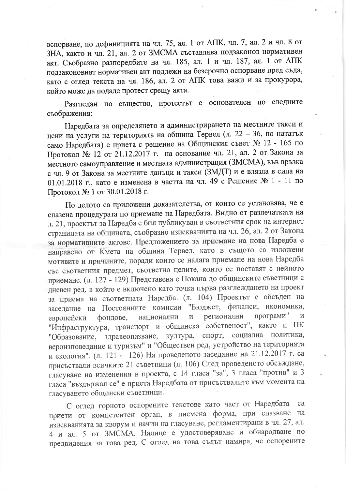оспорване, по дефиницията на чл. 75, ал. 1 от АПК, чл. 7, ал. 2 и чл. 8 от ЗНА, както и чл. 21, ал. 2 от ЗМСМА съставлява подзаконов нормативен акт. Съобразно разпоредбите на чл. 185, ал. 1 и чл. 187, ал. 1 от АПК подзаконовият нормативен акт подлежи на безсрочно оспорване пред съда, като с оглед текста на чл. 186, ал. 2 от АПК това важи и за прокурора, който може да подаде протест срещу акта.

Разгледан по същество, протестът е основателен по следните съображения:

Наредбата за определянето и администрирането на местните такси и цени на услуги на територията на община Тервел (л. 22 - 36, по нататък само Наредбата) е приета с решение на Общинския съвет № 12 - 165 по Протокол № 12 от 21.12.2017 г. на основание чл. 21, ал. 2 от Закона за местното самоуправление и местната администрация (ЗМСМА), във връзка с чл. 9 от Закона за местните данъци и такси (ЗМДТ) и е влязла в сила на 01.01.2018 г., като е изменена в частта на чл. 49 с Решение № 1 - 11 по Протокол № 1 от 30.01.2018 г.

По делото са приложени доказателства, от които се установява, че е спазена процедурата по приемане на Наредбата. Видно от разпечатката на л. 21, проектът за Наредба е бил публикуван в съответния срок на интернет страницата на общината, съобразно изискванията на чл. 26, ал. 2 от Закона за нормативните актове. Предложението за приемане на нова Наредба е направено от Кмета на община Тервел, като в същото са изложени мотивите и причините, поради които се налага приемане на нова Наредба със съответния предмет, съответно целите, които се поставят с нейното приемане. (л. 127 - 129) Представена е Покана до общинските съветници с дневен ред, в който е включено като точка първа разглеждането на проект за приема на съответната Наредба. (л. 104) Проектът е обсъден на заседание на Постоянните комисии "Бюджет, финанси, икономика, програми" регионални И национални  $\rm H$ европейски фондове, "Инфраструктура, транспорт и общинска собственост", както и ПК спорт, социална политика, "Образование, здравеопазване, култура, вероизповедание и туризъм" и "Обществен ред, устройство на територията и екология". (л. 121 - 126) На проведеното заседание на 21.12.2017 г. са присъствали всичките 21 съветници (л. 106) След проведеното обсъждане, гласуване на изменения в проекта, с 14 гласа "за", 3 гласа "против" и 3 гласа "въздържал се" е приета Наредбата от присъствалите към момента на гласуването общински съветници.

С оглед горното оспорените текстове като част от Наредбата ca приети от компетентен орган, в писмена форма, при спазване на изискванията за кворум и начин на гласуване, регламентирани в чл. 27, ал. 4 и ал. 5 от ЗМСМА. Налице е удостоверяване и обнародване по предвидения за това ред. С оглед на това съдът намира, че оспорените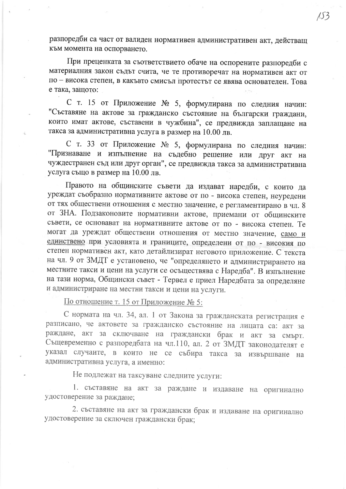разпоредби са част от валиден нормативен административен акт, действащ към момента на оспорването.

При преценката за съответствието обаче на оспорените разпоредби с материалния закон съдът счита, че те противоречат на нормативен акт от по - висока степен, в какъвто смисъл протестът се явява основателен. Това е така, защото:

С т. 15 от Приложение № 5, формулирана по следния начин: "Съставяне на актове за гражданско състояние на български граждани, които имат актове, съставени в чужбина", се предвижда заплащане на такса за административна услуга в размер на 10.00 лв.

С т. 33 от Приложение № 5, формулирана по следния начин: "Признаване и изпълнение на съдебно решение или друг акт на чуждестранен съд или друг орган", се предвижда такса за административна услуга също в размер на 10.00 лв.

Правото на общинските съвети да издават наредби, с които да уреждат съобразно нормативните актове от по - висока степен, неуредени от тях обществени отношения с местно значение, е регламентирано в чл. 8 от ЗНА. Подзаконовите нормативни актове, приемани от общинските съвети, се основават на нормативните актове от по - висока степен. Те могат да уреждат обществени отношения от местно значение, само и единствено при условията и границите, определени от по - високия по степен нормативен акт, като детайлизират неговото приложение. С текста на чл. 9 от ЗМДТ е установено, че "определянето и администрирането на местните такси и цени на услуги се осъществява с Наредба". В изпълнение на тази норма, Общински съвет - Тервел е приел Наредбата за определяне и администриране на местни такси и цени на услуги.

По отношение т. 15 от Приложение № 5:

С нормата на чл. 34, ал. 1 от Закона за гражданската регистрация е разписано, че актовете за гражданско състояние на лицата са: акт за раждане, акт за сключване на граждански брак и акт за смърт. Същевременно с разпоредбата на чл.110, ал. 2 от ЗМДТ законодателят е указал случаите, в които не се събира такса за извършване на административна услуга, а именно:

Не подлежат на таксуване следните услуги:

1. съставяне на акт за раждане и издаване на оригинално удостоверение за раждане;

2. съставяне на акт за граждански брак и издаване на оригинално удостоверение за сключен граждански брак;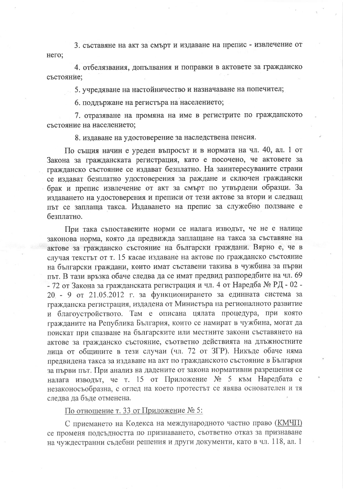3. съставяне на акт за смърт и издаване на препис - извлечение от него;

4. отбелязвания, допълвания и поправки в актовете за гражданско състояние;

5. учредяване на настойничество и назначаване на попечител;

6. поддържане на регистъра на населението;

7. отразяване на промяна на име в регистрите по гражданското състояние на населението;

8. издаване на удостоверение за наследствена пенсия.

По същия начин е уреден въпросът и в нормата на чл. 40, ал. 1 от Закона за гражданската регистрация, като е посочено, че актовете за гражданско състояние се издават безплатно. На заинтересуваните страни се издават безплатно удостоверения за раждане и сключен граждански брак и препис извлечение от акт за смърт по утвърдени образци. За издаването на удостоверения и преписи от тези актове за втори и следващ път се заплаща такса. Издаването на препис за служебно ползване е безплатно.

При така съпоставените норми се налага изводът, че не е налице законова норма, която да предвижда заплащане на такса за съставяне на актове за гражданско състояние на български граждани. Вярно е, че в случая текстът от т. 15 касае издаване на актове по гражданско състояние на български граждани, които имат съставени такива в чужбина за първи път. В тази връзка обаче следва да се имат предвид разпоредбите на чл. 69 - 72 от Закона за гражданската регистрация и чл. 4 от Наредба № РД - 02 -20 - 9 от 21.05.2012 г. за функционирането за единната система за гражданска регистрация, издадена от Министъра на регионалното развитие и благоустройството. Там е описана цялата процедура, при която гражданите на Република България, които се намират в чужбина, могат да поискат при спазване на българските или местните закони съставянето на актове за гражданско състояние, съответно действията на длъжностните лица от общините в тези случаи (чл. 72 от ЗГР). Никъде обаче няма предвидена такса за издаване на акт по гражданското състояние в България за първи път. При анализ на дадените от закона нормативни разрешения се налага изводът, че т. 15 от Приложение № 5 към Наредбата е незаконосъобразна, с оглед на което протестът се явява основателен и тя следва да бъде отменена.

По отношение т. 33 от Приложение № 5:

С приемането на Кодекса на международното частно право (КМЧП) се променя подсъдността по признаването, съответно отказ за признаване на чуждестранни съдебни решения и други документи, като в чл. 118, ал. 1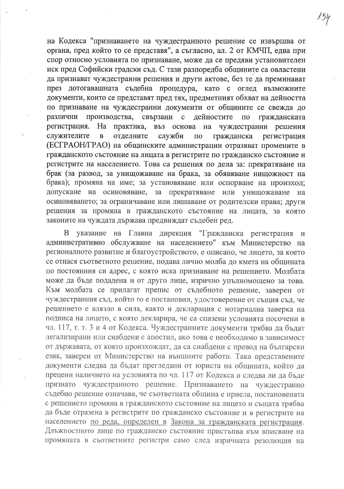на Кодекса "признаването на чуждестранното решение се извършва от органа, пред който то се представя", а съгласно, ал. 2 от КМЧП, едва при спор относно условията по признаване, може да се предяви установителен иск пред Софийски градски съд. С тази разпоредба общините са овластени да признават чуждестранни решения и други актове, без те да преминават през дотогавашната съдебна процедура, като с оглед възможните документи, които се представят пред тях, предметният обхват на дейността по признаване на чуждестранни документи от общините се свежда до свързани различни производства,  $\mathbf{c}$ дейностите  $\Pi$ O гражданската регистрация. Ha практика, въз основа на чуждестранни решения служителите  $\overline{B}$ отделните служби гражданска  $\Pi$ O регистрация (ЕСГРАОН/ГРАО) на общинските администрации отразяват промените в гражданското състояние на лицата в регистрите по гражданско състояние и регистрите на населението. Това са решения по дела за: прекратяване на брак (за развод, за унищожаване на брака, за обявяване нищожност на брака); промяна на име; за установяване или оспорване на произход; допускане на осиновяване, за прекратяване или унищожаване на осиновяването; за ограничаване или лишаване от родителски права; други решения за промяна в гражданското състояние на лицата, за която законите на чуждата държава предвиждат съдебен ред.

указание на Главна дирекция "Гражданска регистрация <sub>B</sub>  $\overline{M}$ административно обслужване на населението" към Министерство на регионалното развитие и благоустройството, е описано, че лицето, за което се отнася съответното решение, подава лично молба до кмета на общината по постоянния си адрес, с която иска признаване на решението. Молбата може да бъде подадена и от друго лице, изрично упълномощено за това. Към молбата се прилагат препис от съдебното решение, заверен от чуждестранния съд, който го е постановил, удостоверение от същия съд, че решението е влязло в сила, както и декларация с нотариална заверка на подписа на лицето, с която декларира, че са спазени условията посочени в чл. 117, т. т. 3 и 4 от Кодекса. Чуждестранните документи трябва да бъдат легализирани или снабдени с апостил, ако това е необходимо в зависимост от държавата, от която произхождат, да са снабдени с превод на български език, заверен от Министерство на външните работи. Така представените документи следва да бъдат прегледани от юриста на общината, който да прецени наличието на условията по чл. 117 от Кодекса и следва ли да бъде признато чуждестранното решение. Признаването на чуждестранно съдебно решение означава, че съответната община е приела, постановената с решението промяна в гражданското състояние на лицето и същата трябва да бъде отразена в регистрите по гражданско състояние и в регистрите на населението по реда, определен в Закона за гражданската регистрация. Длъжностното лице по гражданско състояние пристъпва към вписване на промяната в съответните регистри само след изричната резолюция на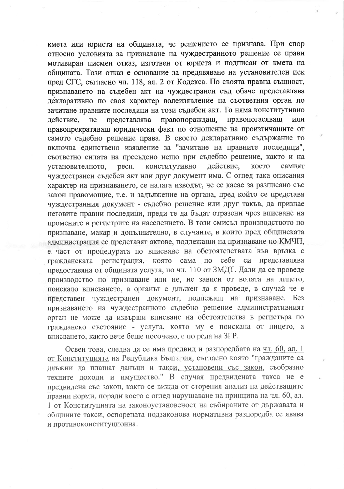кмета или юриста на общината, че решението се признава. При спор относно условията за признаване на чуждестранното решение се прави мотивиран писмен отказ, изготвен от юриста и подписан от кмета на общината. Този отказ е основание за предявяване на установителен иск пред СГС, съгласно чл. 118, ал. 2 от Кодекса. По своята правна същност, признаването на съдебен акт на чуждестранен съд обаче представлява декларативно по своя характер волеизявление на съответния орган по зачитане правните последици на този съдебен акт. То няма конститутивно представлява правопораждащ, правопогасяващ действие, He или правопрекратяващ юридически факт по отношение на произтичащите от самото съдебно решение права. В своето декларативно съдържание то включва единствено изявление за "зачитане на правните последици", съответно силата на пресъдено нещо при съдебно решение, както и на респ. конститутивно действие, което установителното, самият чуждестранен съдебен акт или друг документ има. С оглед така описания характер на признаването, се налага изводът, че се касае за разписано със закон правомощие, т.е. и задължение на органа, пред който се представя чуждестранния документ - съдебно решение или друг такъв, да признае неговите правни последици, преди те да бъдат отразени чрез вписване на промените в регистрите на населението. В този смисъл производството по признаване, макар и допълнително, в случаите, в които пред общинската администрация се представят актове, подлежащи на признаване по КМЧП, е част от процедурата по вписване на обстоятелствата във връзка с която сама по себе  $c<sub>M</sub>$ представлява гражданската регистрация, предоставяна от общината услуга, по чл. 110 от ЗМДТ. Дали да се проведе производство по признаване или не, не зависи от волята на лицето, поискало вписването, а органът е длъжен да я проведе, в случай че е представен чуждестранен документ, подлежащ на признаване. Без признаването на чуждестранното съдебно решение административният орган не може да извърши вписване на обстоятелства в регистъра по гражданско състояние - услуга, която му е поискана от лицето, а вписването, както вече беше посочено, е по реда на ЗГР.

Освен това, следва да се има предвид и разпоредбата на чл. 60, ал. 1 от Конституцията на Република България, съгласно която "гражданите са длъжни да плащат данъци и такси, установени със закон, съобразно техните доходи и имущество." В случая предвидената такса не е предвидена със закон, както се вижда от сторения анализ на действащите правни норми, поради което с оглед нарушаване на принципа на чл. 60, ал. 1 от Конституцията на законоустановеност на събираните от държавата и общините такси, оспорената подзаконова нормативна разпоредба се явява и противоконституционна.